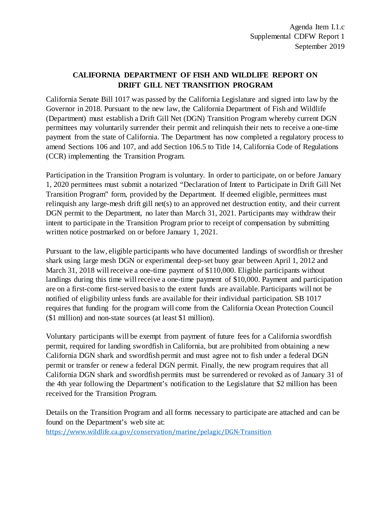# **CALIFORNIA DEPARTMENT OF FISH AND WILDLIFE REPORT ON DRIFT GILL NET TRANSITION PROGRAM**

California Senate Bill 1017 was passed by the California Legislature and signed into law by the Governor in 2018. Pursuant to the new law, the California Department of Fish and Wildlife (Department) must establish a Drift Gill Net (DGN) Transition Program whereby current DGN permittees may voluntarily surrender their permit and relinquish their nets to receive a one-time payment from the state of California. The Department has now completed a regulatory process to amend Sections 106 and 107, and add Section 106.5 to Title 14, California Code of Regulations (CCR) implementing the Transition Program.

Participation in the Transition Program is voluntary. In order to participate, on or before January 1, 2020 permittees must submit a notarized "Declaration of Intent to Participate in Drift Gill Net Transition Program" form, provided by the Department. If deemed eligible, permittees must relinquish any large-mesh drift gill net(s) to an approved net destruction entity, and their current DGN permit to the Department, no later than March 31, 2021. Participants may withdraw their intent to participate in the Transition Program prior to receipt of compensation by submitting written notice postmarked on or before January 1, 2021.

Pursuant to the law, eligible participants who have documented landings of swordfish or thresher shark using large mesh DGN or experimental deep-set buoy gear between April 1, 2012 and March 31, 2018 will receive a one-time payment of \$110,000. Eligible participants without landings during this time will receive a one-time payment of \$10,000. Payment and participation are on a first-come first-served basis to the extent funds are available. Participants will not be notified of eligibility unless funds are available for their individual participation. SB 1017 requires that funding for the program will come from the California Ocean Protection Council (\$1 million) and non-state sources (at least \$1 million).

Voluntary participants will be exempt from payment of future fees for a California swordfish permit, required for landing swordfish in California, but are prohibited from obtaining a new California DGN shark and swordfish permit and must agree not to fish under a federal DGN permit or transfer or renew a federal DGN permit. Finally, the new program requires that all California DGN shark and swordfish permits must be surrendered or revoked as of January 31 of the 4th year following the Department's notification to the Legislature that \$2 million has been received for the Transition Program.

Details on the Transition Program and all forms necessary to participate are attached and can be found on the Department's web site at:

<https://www.wildlife.ca.gov/conservation/marine/pelagic/DGN-Transition>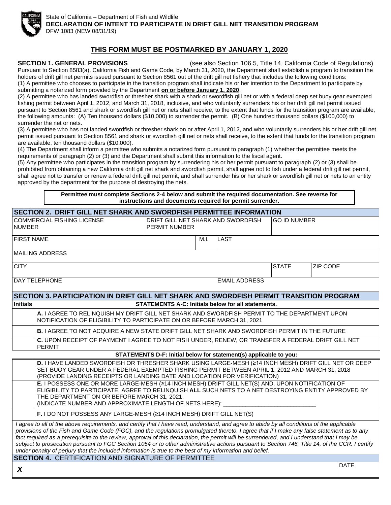

State of California – Department of Fish and Wildlife **DECLARATION OF INTENT TO PARTICIPATE IN DRIFT GILL NET TRANSITION PROGRAM** DFW 1083 (NEW 08/31/19)

#### **THIS FORM MUST BE POSTMARKED BY JANUARY 1, 2020**

**SECTION 1. GENERAL PROVISIONS** (see also Section 106.5, Title 14, California Code of Regulations) Pursuant to Section 8583(a), California Fish and Game Code, by March 31, 2020, the Department shall establish a program to transition the holders of drift gill net permits issued pursuant to Section 8561 out of the drift gill net fishery that includes the following conditions: (1) A permittee who chooses to participate in the transition program shall indicate his or her intention to the Department to participate by submitting a notarized form provided by the Department **on or before January 1, 2020**.

(2) A permittee who has landed swordfish or thresher shark with a shark or swordfish gill net or with a federal deep set buoy gear exempted fishing permit between April 1, 2012, and March 31, 2018, inclusive, and who voluntarily surrenders his or her drift gill net permit issued pursuant to Section 8561 and shark or swordfish gill net or nets shall receive, to the extent that funds for the transition program are available, the following amounts: (A) Ten thousand dollars (\$10,000) to surrender the permit. (B) One hundred thousand dollars (\$100,000) to surrender the net or nets.

(3) A permittee who has not landed swordfish or thresher shark on or after April 1, 2012, and who voluntarily surrenders his or her drift gill net permit issued pursuant to Section 8561 and shark or swordfish gill net or nets shall receive, to the extent that funds for the transition program are available, ten thousand dollars (\$10,000).

(4) The Department shall inform a permittee who submits a notarized form pursuant to paragraph (1) whether the permittee meets the requirements of paragraph (2) or (3) and the Department shall submit this information to the fiscal agent.

(5) Any permittee who participates in the transition program by surrendering his or her permit pursuant to paragraph (2) or (3) shall be prohibited from obtaining a new California drift gill net shark and swordfish permit, shall agree not to fish under a federal drift gill net permit, shall agree not to transfer or renew a federal drift gill net permit, and shall surrender his or her shark or swordfish gill net or nets to an entity approved by the department for the purpose of destroying the nets.

> **Permittee must complete Sections 2-4 below and submit the required documentation. See reverse for instructions and documents required for permit surrender.**

| SECTION 2.  DRIFT GILL NET SHARK AND SWORDFISH PERMITTEE INFORMATION                                                                                                                                                                                                                                                                                                                                                                                                                                                                                                                                                                                                                                  |                                                                                                                                                                                                                                                                                                                  |                                                     |      |                                                           |                     |                 |  |  |
|-------------------------------------------------------------------------------------------------------------------------------------------------------------------------------------------------------------------------------------------------------------------------------------------------------------------------------------------------------------------------------------------------------------------------------------------------------------------------------------------------------------------------------------------------------------------------------------------------------------------------------------------------------------------------------------------------------|------------------------------------------------------------------------------------------------------------------------------------------------------------------------------------------------------------------------------------------------------------------------------------------------------------------|-----------------------------------------------------|------|-----------------------------------------------------------|---------------------|-----------------|--|--|
| <b>COMMERCIAL FISHING LICENSE</b><br><b>NUMBER</b>                                                                                                                                                                                                                                                                                                                                                                                                                                                                                                                                                                                                                                                    |                                                                                                                                                                                                                                                                                                                  | DRIFT GILL NET SHARK AND SWORDFISH<br>PERMIT NUMBER |      |                                                           | <b>GO ID NUMBER</b> |                 |  |  |
| <b>FIRST NAME</b>                                                                                                                                                                                                                                                                                                                                                                                                                                                                                                                                                                                                                                                                                     |                                                                                                                                                                                                                                                                                                                  |                                                     | M.I. | <b>LAST</b>                                               |                     |                 |  |  |
|                                                                                                                                                                                                                                                                                                                                                                                                                                                                                                                                                                                                                                                                                                       | <b>MAILING ADDRESS</b>                                                                                                                                                                                                                                                                                           |                                                     |      |                                                           |                     |                 |  |  |
| <b>CITY</b>                                                                                                                                                                                                                                                                                                                                                                                                                                                                                                                                                                                                                                                                                           |                                                                                                                                                                                                                                                                                                                  |                                                     |      |                                                           | <b>STATE</b>        | <b>ZIP CODE</b> |  |  |
|                                                                                                                                                                                                                                                                                                                                                                                                                                                                                                                                                                                                                                                                                                       | DAY TELEPHONE                                                                                                                                                                                                                                                                                                    |                                                     |      | <b>EMAIL ADDRESS</b>                                      |                     |                 |  |  |
|                                                                                                                                                                                                                                                                                                                                                                                                                                                                                                                                                                                                                                                                                                       | SECTION 3. PARTICIPATION IN DRIFT GILL NET SHARK AND SWORDFISH PERMIT TRANSITION PROGRAM                                                                                                                                                                                                                         |                                                     |      |                                                           |                     |                 |  |  |
| <b>Initials</b>                                                                                                                                                                                                                                                                                                                                                                                                                                                                                                                                                                                                                                                                                       |                                                                                                                                                                                                                                                                                                                  |                                                     |      | <b>STATEMENTS A-C: Initials below for all statements.</b> |                     |                 |  |  |
|                                                                                                                                                                                                                                                                                                                                                                                                                                                                                                                                                                                                                                                                                                       | A. I AGREE TO RELINQUISH MY DRIFT GILL NET SHARK AND SWORDFISH PERMIT TO THE DEPARTMENT UPON<br>NOTIFICATION OF ELIGIBILITY TO PARTICIPATE ON OR BEFORE MARCH 31, 2021                                                                                                                                           |                                                     |      |                                                           |                     |                 |  |  |
|                                                                                                                                                                                                                                                                                                                                                                                                                                                                                                                                                                                                                                                                                                       | B. I AGREE TO NOT ACQUIRE A NEW STATE DRIFT GILL NET SHARK AND SWORDFISH PERMIT IN THE FUTURE                                                                                                                                                                                                                    |                                                     |      |                                                           |                     |                 |  |  |
|                                                                                                                                                                                                                                                                                                                                                                                                                                                                                                                                                                                                                                                                                                       | C. UPON RECEIPT OF PAYMENT I AGREE TO NOT FISH UNDER, RENEW, OR TRANSFER A FEDERAL DRIFT GILL NET<br><b>PERMIT</b>                                                                                                                                                                                               |                                                     |      |                                                           |                     |                 |  |  |
| STATEMENTS D-F: Initial below for statement(s) applicable to you:                                                                                                                                                                                                                                                                                                                                                                                                                                                                                                                                                                                                                                     |                                                                                                                                                                                                                                                                                                                  |                                                     |      |                                                           |                     |                 |  |  |
|                                                                                                                                                                                                                                                                                                                                                                                                                                                                                                                                                                                                                                                                                                       | D. I HAVE LANDED SWORDFISH OR THRESHER SHARK USING LARGE-MESH (≥14 INCH MESH) DRIFT GILL NET OR DEEP<br>SET BUOY GEAR UNDER A FEDERAL EXEMPTED FISHING PERMIT BETWEEN APRIL 1, 2012 AND MARCH 31, 2018<br>(PROVIDE LANDING RECEIPTS OR LANDING DATE AND LOCATION FOR VERIFICATION)                               |                                                     |      |                                                           |                     |                 |  |  |
|                                                                                                                                                                                                                                                                                                                                                                                                                                                                                                                                                                                                                                                                                                       | E. I POSSESS ONE OR MORE LARGE-MESH (214 INCH MESH) DRIFT GILL NET(S) AND, UPON NOTIFICATION OF<br>ELIGIBILITY TO PARTICIPATE, AGREE TO RELINQUISH ALL SUCH NETS TO A NET DESTROYING ENTITY APPROVED BY<br>THE DEPARTMENT ON OR BEFORE MARCH 31, 2021.<br>(INDICATE NUMBER AND APPROXIMATE LENGTH OF NETS HERE): |                                                     |      |                                                           |                     |                 |  |  |
|                                                                                                                                                                                                                                                                                                                                                                                                                                                                                                                                                                                                                                                                                                       | F. I DO NOT POSSESS ANY LARGE-MESH (≥14 INCH MESH) DRIFT GILL NET(S)                                                                                                                                                                                                                                             |                                                     |      |                                                           |                     |                 |  |  |
| I agree to all of the above requirements, and certify that I have read, understand, and agree to abide by all conditions of the applicable<br>provisions of the Fish and Game Code (FGC), and the regulations promulgated thereto. I agree that if I make any false statement as to any<br>fact required as a prerequisite to the review, approval of this declaration, the permit will be surrendered, and I understand that I may be<br>subject to prosecution pursuant to FGC Section 1054 or to other administrative actions pursuant to Section 746, Title 14, of the CCR. I certify<br>under penalty of perjury that the included information is true to the best of my information and belief. |                                                                                                                                                                                                                                                                                                                  |                                                     |      |                                                           |                     |                 |  |  |
| <b>SECTION 4. CERTIFICATION AND SIGNATURE OF PERMITTEE</b>                                                                                                                                                                                                                                                                                                                                                                                                                                                                                                                                                                                                                                            |                                                                                                                                                                                                                                                                                                                  |                                                     |      |                                                           |                     |                 |  |  |
| $\boldsymbol{x}$                                                                                                                                                                                                                                                                                                                                                                                                                                                                                                                                                                                                                                                                                      |                                                                                                                                                                                                                                                                                                                  |                                                     |      |                                                           |                     | <b>DATE</b>     |  |  |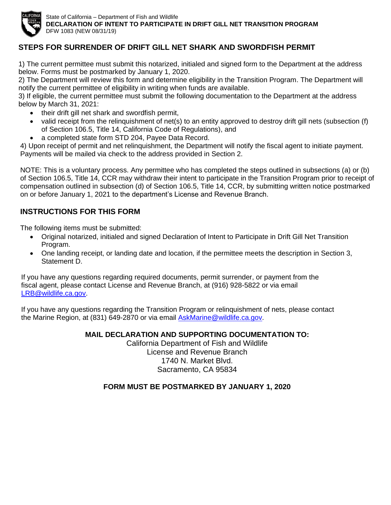

State of California – Department of Fish and Wildlife **DECLARATION OF INTENT TO PARTICIPATE IN DRIFT GILL NET TRANSITION PROGRAM** DFW 1083 (NEW 08/31/19)

# **STEPS FOR SURRENDER OF DRIFT GILL NET SHARK AND SWORDFISH PERMIT**

1) The current permittee must submit this notarized, initialed and signed form to the Department at the address below. Forms must be postmarked by January 1, 2020.

2) The Department will review this form and determine eligibility in the Transition Program. The Department will notify the current permittee of eligibility in writing when funds are available.

3) If eligible, the current permittee must submit the following documentation to the Department at the address below by March 31, 2021:

- their drift gill net shark and swordfish permit,
- valid receipt from the relinquishment of net(s) to an entity approved to destroy drift gill nets (subsection (f) of Section 106.5, Title 14, California Code of Regulations), and
- a completed state form STD 204, Payee Data Record.

4) Upon receipt of permit and net relinquishment, the Department will notify the fiscal agent to initiate payment. Payments will be mailed via check to the address provided in Section 2.

NOTE: This is a voluntary process. Any permittee who has completed the steps outlined in subsections (a) or (b) of Section 106.5, Title 14, CCR may withdraw their intent to participate in the Transition Program prior to receipt of compensation outlined in subsection (d) of Section 106.5, Title 14, CCR, by submitting written notice postmarked on or before January 1, 2021 to the department's License and Revenue Branch.

## **INSTRUCTIONS FOR THIS FORM**

The following items must be submitted:

- Original notarized, initialed and signed Declaration of Intent to Participate in Drift Gill Net Transition Program.
- One landing receipt, or landing date and location, if the permittee meets the description in Section 3, Statement D.

If you have any questions regarding required documents, permit surrender, or payment from the fiscal agent, please contact License and Revenue Branch, at (916) 928-5822 or via email [LRB@wildlife.ca.gov.](file:///C:/Users/tlarinto/Documents/restricted%20access/2017%20Rulemaking/Transfer%20applications/LRB@wildlife.ca.gov)

If you have any questions regarding the Transition Program or relinquishment of nets, please contact the Marine Region, at (831) 649-2870 or via email AskMarine@wildlife.ca.gov.

### **MAIL DECLARATION AND SUPPORTING DOCUMENTATION TO:**

California Department of Fish and Wildlife License and Revenue Branch 1740 N. Market Blvd. Sacramento, CA 95834

### **FORM MUST BE POSTMARKED BY JANUARY 1, 2020**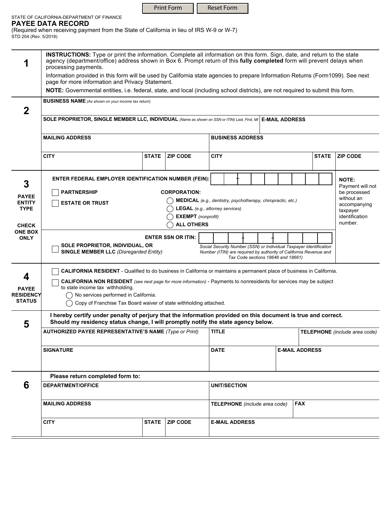| <b>Print Form</b> | Reset Form |
|-------------------|------------|
|-------------------|------------|

#### STATE OF CALIFORNIA-DEPARTMENT OF FINANCE **PAYEE DATA RECORD**

(Required when receiving payment from the State of California in lieu of IRS W-9 or W-7) STD 204 (Rev. 5/2018)

|                                                                                                                                                                     | <b>INSTRUCTIONS:</b> Type or print the information. Complete all information on this form. Sign, date, and return to the state<br>agency (department/office) address shown in Box 6. Prompt return of this fully completed form will prevent delays when<br>processing payments. |              |                                                              |                                             |                         |  |  |                       |                               |                                  |  |
|---------------------------------------------------------------------------------------------------------------------------------------------------------------------|----------------------------------------------------------------------------------------------------------------------------------------------------------------------------------------------------------------------------------------------------------------------------------|--------------|--------------------------------------------------------------|---------------------------------------------|-------------------------|--|--|-----------------------|-------------------------------|----------------------------------|--|
|                                                                                                                                                                     | Information provided in this form will be used by California state agencies to prepare Information Returns (Form1099). See next                                                                                                                                                  |              |                                                              |                                             |                         |  |  |                       |                               |                                  |  |
|                                                                                                                                                                     | page for more information and Privacy Statement.                                                                                                                                                                                                                                 |              |                                                              |                                             |                         |  |  |                       |                               |                                  |  |
|                                                                                                                                                                     | NOTE: Governmental entities, i.e. federal, state, and local (including school districts), are not required to submit this form.                                                                                                                                                  |              |                                                              |                                             |                         |  |  |                       |                               |                                  |  |
|                                                                                                                                                                     | <b>BUSINESS NAME</b> (As shown on your income tax return)                                                                                                                                                                                                                        |              |                                                              |                                             |                         |  |  |                       |                               |                                  |  |
| $\mathbf 2$                                                                                                                                                         |                                                                                                                                                                                                                                                                                  |              |                                                              |                                             |                         |  |  |                       |                               |                                  |  |
|                                                                                                                                                                     | SOLE PROPRIETOR, SINGLE MEMBER LLC, INDIVIDUAL (Name as shown on SSN or ITIN) Last, First, MI E-MAIL ADDRESS                                                                                                                                                                     |              |                                                              |                                             |                         |  |  |                       |                               |                                  |  |
|                                                                                                                                                                     |                                                                                                                                                                                                                                                                                  |              |                                                              |                                             |                         |  |  |                       |                               |                                  |  |
|                                                                                                                                                                     | <b>MAILING ADDRESS</b>                                                                                                                                                                                                                                                           |              |                                                              |                                             | <b>BUSINESS ADDRESS</b> |  |  |                       |                               |                                  |  |
|                                                                                                                                                                     |                                                                                                                                                                                                                                                                                  |              |                                                              |                                             |                         |  |  |                       |                               |                                  |  |
|                                                                                                                                                                     | <b>CITY</b>                                                                                                                                                                                                                                                                      | <b>STATE</b> | <b>ZIP CODE</b>                                              | <b>CITY</b>                                 |                         |  |  |                       | <b>STATE</b>                  | <b>ZIP CODE</b>                  |  |
|                                                                                                                                                                     |                                                                                                                                                                                                                                                                                  |              |                                                              |                                             |                         |  |  |                       |                               |                                  |  |
|                                                                                                                                                                     |                                                                                                                                                                                                                                                                                  |              |                                                              |                                             |                         |  |  |                       |                               |                                  |  |
| 3                                                                                                                                                                   | <b>ENTER FEDERAL EMPLOYER IDENTIFICATION NUMBER (FEIN):</b>                                                                                                                                                                                                                      |              |                                                              |                                             |                         |  |  |                       |                               | <b>NOTE:</b>                     |  |
|                                                                                                                                                                     | <b>PARTNERSHIP</b>                                                                                                                                                                                                                                                               |              | <b>CORPORATION:</b>                                          |                                             |                         |  |  |                       |                               | Payment will not<br>be processed |  |
| <b>PAYEE</b><br><b>ENTITY</b>                                                                                                                                       | <b>ESTATE OR TRUST</b>                                                                                                                                                                                                                                                           |              | MEDICAL (e.g., dentistry, psychotherapy, chiropractic, etc.) |                                             |                         |  |  |                       |                               | without an                       |  |
| <b>TYPE</b>                                                                                                                                                         |                                                                                                                                                                                                                                                                                  |              | <b>LEGAL</b> (e.g., attorney services)                       |                                             |                         |  |  |                       |                               | accompanying<br>taxpayer         |  |
|                                                                                                                                                                     |                                                                                                                                                                                                                                                                                  |              | <b>EXEMPT</b> (nonprofit)                                    |                                             |                         |  |  |                       |                               | identification                   |  |
| <b>CHECK</b>                                                                                                                                                        |                                                                                                                                                                                                                                                                                  |              | <b>ALL OTHERS</b>                                            |                                             |                         |  |  |                       |                               | number.                          |  |
| <b>ONE BOX</b><br><b>ENTER SSN OR ITIN:</b><br><b>ONLY</b><br>SOLE PROPRIETOR, INDIVIDUAL, OR<br>Social Security Number (SSN) or Individual Taxpayer Identification |                                                                                                                                                                                                                                                                                  |              |                                                              |                                             |                         |  |  |                       |                               |                                  |  |
|                                                                                                                                                                     |                                                                                                                                                                                                                                                                                  |              |                                                              |                                             |                         |  |  |                       |                               |                                  |  |
| <b>SINGLE MEMBER LLC</b> (Disregarded Entity)<br>Number (ITIN) are required by authority of California Revenue and                                                  |                                                                                                                                                                                                                                                                                  |              |                                                              |                                             |                         |  |  |                       |                               |                                  |  |
| Tax Code sections 18646 and 18661)                                                                                                                                  |                                                                                                                                                                                                                                                                                  |              |                                                              |                                             |                         |  |  |                       |                               |                                  |  |
|                                                                                                                                                                     | <b>CALIFORNIA RESIDENT</b> - Qualified to do business in California or maintains a permanent place of business in California.                                                                                                                                                    |              |                                                              |                                             |                         |  |  |                       |                               |                                  |  |
| 4                                                                                                                                                                   | CALIFORNIA NON RESIDENT (see next page for more information) - Payments to nonresidents for services may be subject                                                                                                                                                              |              |                                                              |                                             |                         |  |  |                       |                               |                                  |  |
| to state income tax withholding.<br><b>PAYEE</b>                                                                                                                    |                                                                                                                                                                                                                                                                                  |              |                                                              |                                             |                         |  |  |                       |                               |                                  |  |
| <b>RESIDENCY</b><br><b>STATUS</b>                                                                                                                                   | () No services performed in California.<br>Copy of Franchise Tax Board waiver of state withholding attached.                                                                                                                                                                     |              |                                                              |                                             |                         |  |  |                       |                               |                                  |  |
|                                                                                                                                                                     |                                                                                                                                                                                                                                                                                  |              |                                                              |                                             |                         |  |  |                       |                               |                                  |  |
|                                                                                                                                                                     | I hereby certify under penalty of perjury that the information provided on this document is true and correct.                                                                                                                                                                    |              |                                                              |                                             |                         |  |  |                       |                               |                                  |  |
| 5                                                                                                                                                                   | Should my residency status change, I will promptly notify the state agency below.                                                                                                                                                                                                |              |                                                              |                                             |                         |  |  |                       |                               |                                  |  |
|                                                                                                                                                                     | <b>AUTHORIZED PAYEE REPRESENTATIVE'S NAME (Type or Print)</b>                                                                                                                                                                                                                    |              |                                                              |                                             | <b>TITLE</b>            |  |  |                       | TELEPHONE (include area code) |                                  |  |
|                                                                                                                                                                     |                                                                                                                                                                                                                                                                                  |              |                                                              |                                             |                         |  |  |                       |                               |                                  |  |
|                                                                                                                                                                     | <b>SIGNATURE</b>                                                                                                                                                                                                                                                                 |              |                                                              | <b>DATE</b>                                 |                         |  |  | <b>E-MAIL ADDRESS</b> |                               |                                  |  |
|                                                                                                                                                                     |                                                                                                                                                                                                                                                                                  |              |                                                              |                                             |                         |  |  |                       |                               |                                  |  |
|                                                                                                                                                                     |                                                                                                                                                                                                                                                                                  |              |                                                              |                                             |                         |  |  |                       |                               |                                  |  |
|                                                                                                                                                                     | Please return completed form to:                                                                                                                                                                                                                                                 |              |                                                              |                                             |                         |  |  |                       |                               |                                  |  |
| 6                                                                                                                                                                   | <b>DEPARTMENT/OFFICE</b>                                                                                                                                                                                                                                                         |              |                                                              |                                             | <b>UNIT/SECTION</b>     |  |  |                       |                               |                                  |  |
|                                                                                                                                                                     |                                                                                                                                                                                                                                                                                  |              |                                                              |                                             |                         |  |  |                       |                               |                                  |  |
|                                                                                                                                                                     | <b>MAILING ADDRESS</b>                                                                                                                                                                                                                                                           |              |                                                              | <b>FAX</b><br>TELEPHONE (include area code) |                         |  |  |                       |                               |                                  |  |
|                                                                                                                                                                     |                                                                                                                                                                                                                                                                                  |              |                                                              |                                             |                         |  |  |                       |                               |                                  |  |
|                                                                                                                                                                     | <b>CITY</b>                                                                                                                                                                                                                                                                      | <b>STATE</b> | <b>ZIP CODE</b>                                              |                                             | <b>E-MAIL ADDRESS</b>   |  |  |                       |                               |                                  |  |
|                                                                                                                                                                     |                                                                                                                                                                                                                                                                                  |              |                                                              |                                             |                         |  |  |                       |                               |                                  |  |